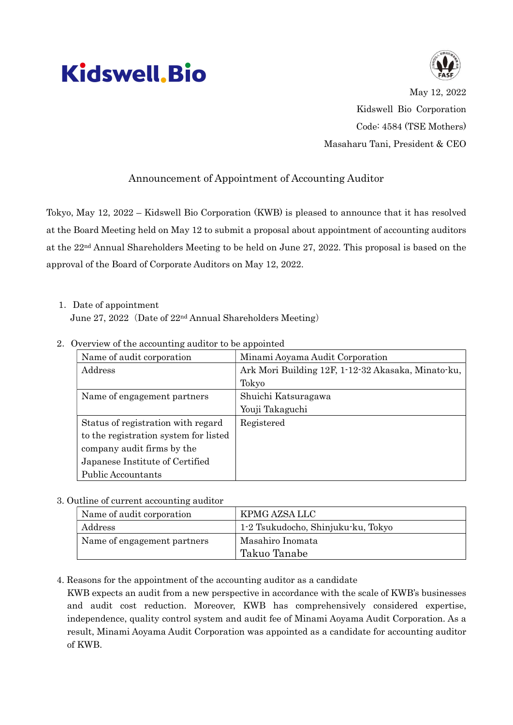## **Kidswell, Bio**



May 12, 2022 Kidswell Bio Corporation Code: 4584 (TSE Mothers) Masaharu Tani, President & CEO

## Announcement of Appointment of Accounting Auditor

Tokyo, May 12, 2022 – Kidswell Bio Corporation (KWB) is pleased to announce that it has resolved at the Board Meeting held on May 12 to submit a proposal about appointment of accounting auditors at the 22nd Annual Shareholders Meeting to be held on June 27, 2022. This proposal is based on the approval of the Board of Corporate Auditors on May 12, 2022.

1.Date of appointment June 27, 2022 (Date of 22<sup>nd</sup> Annual Shareholders Meeting)

| Name of audit corporation             | Minami Aoyama Audit Corporation                    |
|---------------------------------------|----------------------------------------------------|
| Address                               | Ark Mori Building 12F, 1-12-32 Akasaka, Minato-ku, |
|                                       | Tokyo                                              |
| Name of engagement partners           | Shuichi Katsuragawa                                |
|                                       | Youji Takaguchi                                    |
| Status of registration with regard    | Registered                                         |
| to the registration system for listed |                                                    |
| company audit firms by the            |                                                    |
| Japanese Institute of Certified       |                                                    |
| Public Accountants                    |                                                    |

2.Overview of the accounting auditor to be appointed

## 3. Outline of current accounting auditor

| Name of audit corporation   | KPMG AZSA LLC                      |
|-----------------------------|------------------------------------|
| Address                     | 1-2 Tsukudocho, Shinjuku-ku, Tokyo |
| Name of engagement partners | Masahiro Inomata                   |
|                             | Takuo Tanabe                       |

4. Reasons for the appointment of the accounting auditor as a candidate

KWB expects an audit from a new perspective in accordance with the scale of KWB's businesses and audit cost reduction. Moreover, KWB has comprehensively considered expertise, independence, quality control system and audit fee of Minami Aoyama Audit Corporation. As a result, Minami Aoyama Audit Corporation was appointed as a candidate for accounting auditor of KWB.